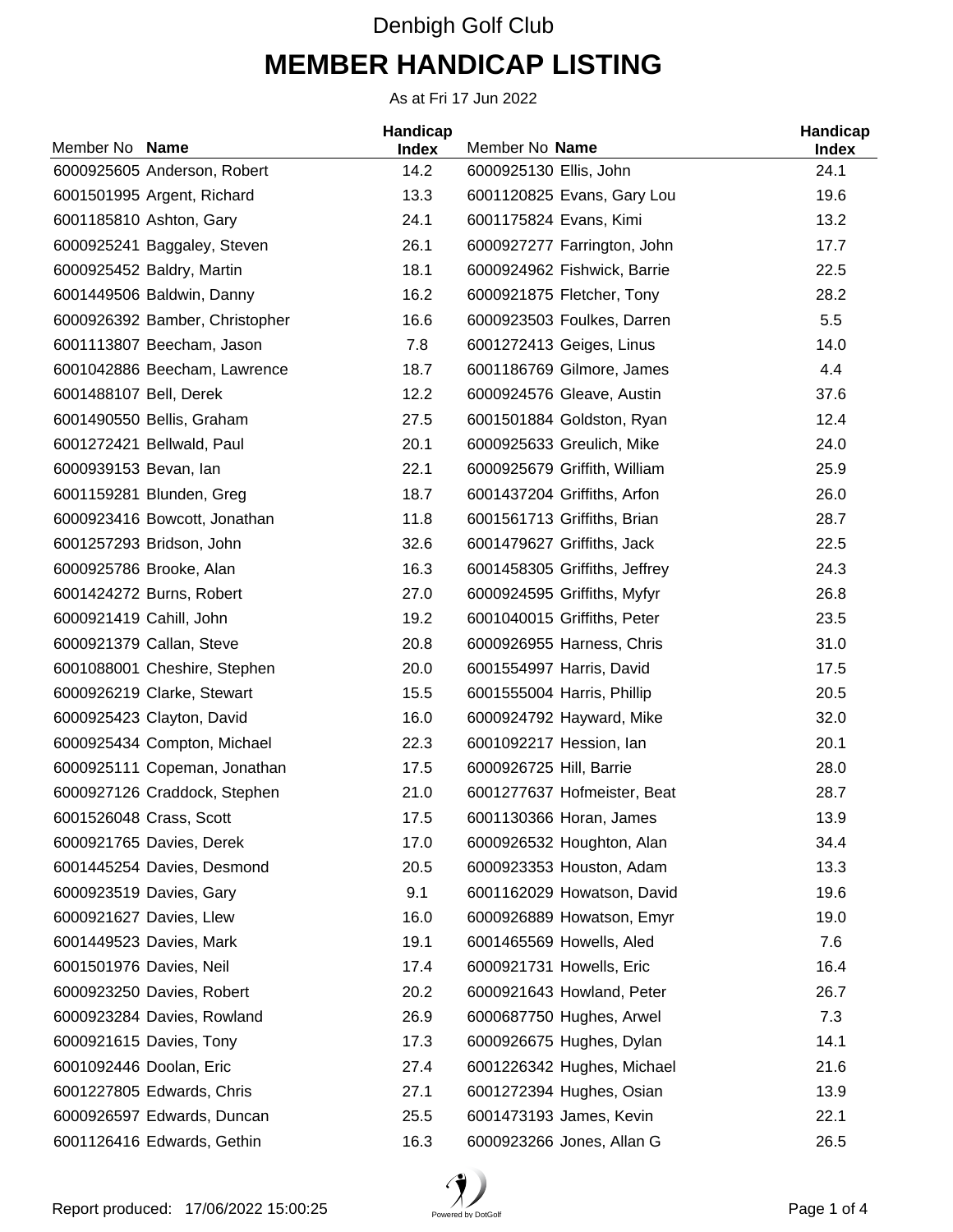## Denbigh Golf Club **MEMBER HANDICAP LISTING**

As at Fri 17 Jun 2022

| Member No Name                 | Handicap<br><b>Index</b> | Member No Name                | Handicap<br><b>Index</b> |
|--------------------------------|--------------------------|-------------------------------|--------------------------|
| 6000925605 Anderson, Robert    | 14.2                     | 6000925130 Ellis, John        | 24.1                     |
| 6001501995 Argent, Richard     | 13.3                     | 6001120825 Evans, Gary Lou    | 19.6                     |
| 6001185810 Ashton, Gary        | 24.1                     | 6001175824 Evans, Kimi        | 13.2                     |
| 6000925241 Baggaley, Steven    | 26.1                     | 6000927277 Farrington, John   | 17.7                     |
| 6000925452 Baldry, Martin      | 18.1                     | 6000924962 Fishwick, Barrie   | 22.5                     |
| 6001449506 Baldwin, Danny      | 16.2                     | 6000921875 Fletcher, Tony     | 28.2                     |
| 6000926392 Bamber, Christopher | 16.6                     | 6000923503 Foulkes, Darren    | 5.5                      |
| 6001113807 Beecham, Jason      | 7.8                      | 6001272413 Geiges, Linus      | 14.0                     |
| 6001042886 Beecham, Lawrence   | 18.7                     | 6001186769 Gilmore, James     | 4.4                      |
| 6001488107 Bell, Derek         | 12.2                     | 6000924576 Gleave, Austin     | 37.6                     |
| 6001490550 Bellis, Graham      | 27.5                     | 6001501884 Goldston, Ryan     | 12.4                     |
| 6001272421 Bellwald, Paul      | 20.1                     | 6000925633 Greulich, Mike     | 24.0                     |
| 6000939153 Bevan, lan          | 22.1                     | 6000925679 Griffith, William  | 25.9                     |
| 6001159281 Blunden, Greg       | 18.7                     | 6001437204 Griffiths, Arfon   | 26.0                     |
| 6000923416 Bowcott, Jonathan   | 11.8                     | 6001561713 Griffiths, Brian   | 28.7                     |
| 6001257293 Bridson, John       | 32.6                     | 6001479627 Griffiths, Jack    | 22.5                     |
| 6000925786 Brooke, Alan        | 16.3                     | 6001458305 Griffiths, Jeffrey | 24.3                     |
| 6001424272 Burns, Robert       | 27.0                     | 6000924595 Griffiths, Myfyr   | 26.8                     |
| 6000921419 Cahill, John        | 19.2                     | 6001040015 Griffiths, Peter   | 23.5                     |
| 6000921379 Callan, Steve       | 20.8                     | 6000926955 Harness, Chris     | 31.0                     |
| 6001088001 Cheshire, Stephen   | 20.0                     | 6001554997 Harris, David      | 17.5                     |
| 6000926219 Clarke, Stewart     | 15.5                     | 6001555004 Harris, Phillip    | 20.5                     |
| 6000925423 Clayton, David      | 16.0                     | 6000924792 Hayward, Mike      | 32.0                     |
| 6000925434 Compton, Michael    | 22.3                     | 6001092217 Hession, Ian       | 20.1                     |
| 6000925111 Copeman, Jonathan   | 17.5                     | 6000926725 Hill, Barrie       | 28.0                     |
| 6000927126 Craddock, Stephen   | 21.0                     | 6001277637 Hofmeister, Beat   | 28.7                     |
| 6001526048 Crass, Scott        | 17.5                     | 6001130366 Horan, James       | 13.9                     |
| 6000921765 Davies, Derek       | 17.0                     | 6000926532 Houghton, Alan     | 34.4                     |
| 6001445254 Davies, Desmond     | 20.5                     | 6000923353 Houston, Adam      | 13.3                     |
| 6000923519 Davies, Gary        | 9.1                      | 6001162029 Howatson, David    | 19.6                     |
| 6000921627 Davies, Llew        | 16.0                     | 6000926889 Howatson, Emyr     | 19.0                     |
| 6001449523 Davies, Mark        | 19.1                     | 6001465569 Howells, Aled      | 7.6                      |
| 6001501976 Davies, Neil        | 17.4                     | 6000921731 Howells, Eric      | 16.4                     |
| 6000923250 Davies, Robert      | 20.2                     | 6000921643 Howland, Peter     | 26.7                     |
| 6000923284 Davies, Rowland     | 26.9                     | 6000687750 Hughes, Arwel      | 7.3                      |
| 6000921615 Davies, Tony        | 17.3                     | 6000926675 Hughes, Dylan      | 14.1                     |
| 6001092446 Doolan, Eric        | 27.4                     | 6001226342 Hughes, Michael    | 21.6                     |
| 6001227805 Edwards, Chris      | 27.1                     | 6001272394 Hughes, Osian      | 13.9                     |
| 6000926597 Edwards, Duncan     | 25.5                     | 6001473193 James, Kevin       | 22.1                     |
| 6001126416 Edwards, Gethin     | 16.3                     | 6000923266 Jones, Allan G     | 26.5                     |

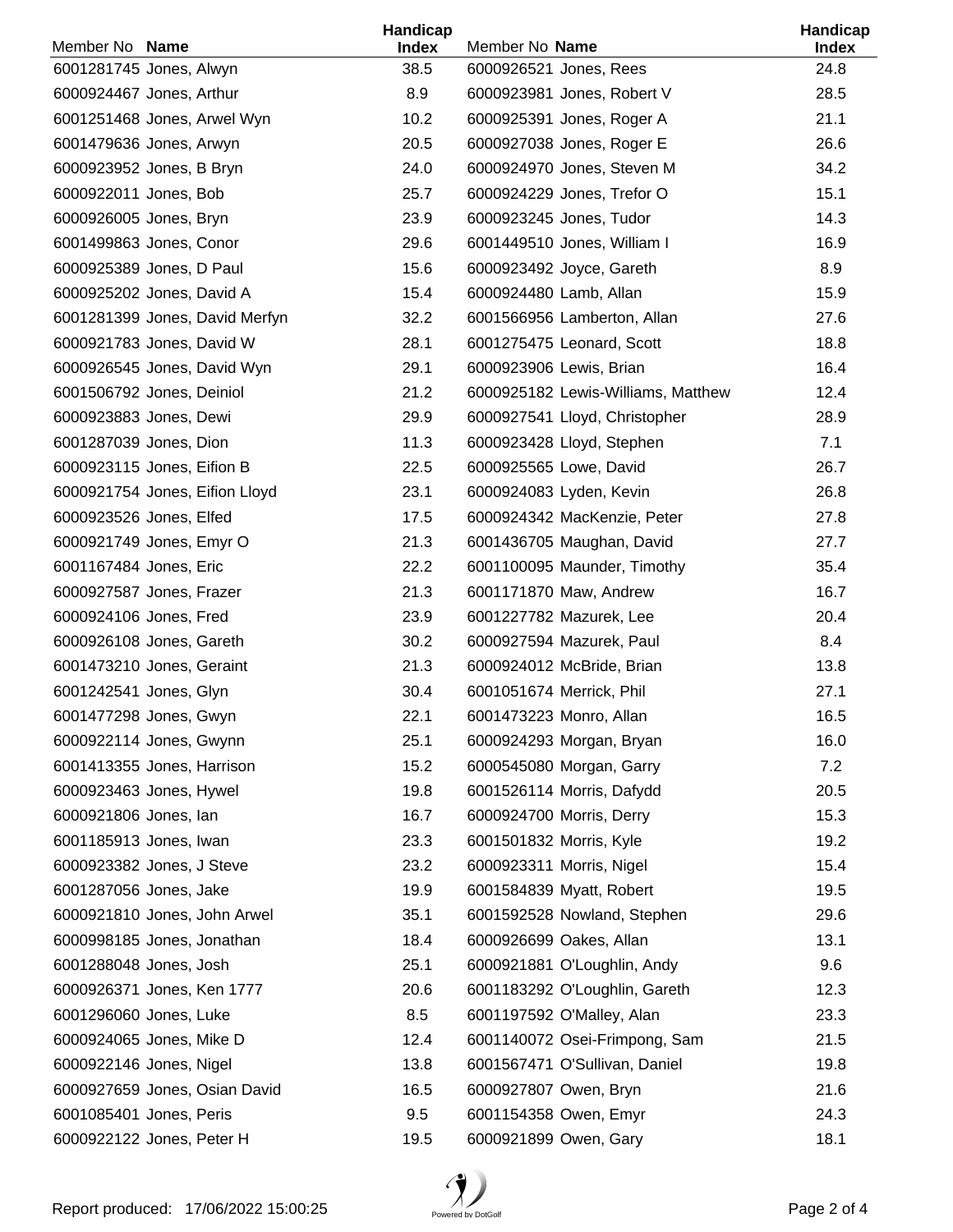| Member No Name                 | Handicap<br><b>Index</b> | Member No Name                     | Handicap<br><b>Index</b> |
|--------------------------------|--------------------------|------------------------------------|--------------------------|
| 6001281745 Jones, Alwyn        | 38.5                     | 6000926521 Jones, Rees             | 24.8                     |
| 6000924467 Jones, Arthur       | 8.9                      | 6000923981 Jones, Robert V         | 28.5                     |
| 6001251468 Jones, Arwel Wyn    | 10.2                     | 6000925391 Jones, Roger A          | 21.1                     |
| 6001479636 Jones, Arwyn        | 20.5                     | 6000927038 Jones, Roger E          | 26.6                     |
| 6000923952 Jones, B Bryn       | 24.0                     | 6000924970 Jones, Steven M         | 34.2                     |
| 6000922011 Jones, Bob          | 25.7                     | 6000924229 Jones, Trefor O         | 15.1                     |
| 6000926005 Jones, Bryn         | 23.9                     | 6000923245 Jones, Tudor            | 14.3                     |
| 6001499863 Jones, Conor        | 29.6                     | 6001449510 Jones, William I        | 16.9                     |
| 6000925389 Jones, D Paul       | 15.6                     | 6000923492 Joyce, Gareth           | 8.9                      |
| 6000925202 Jones, David A      | 15.4                     | 6000924480 Lamb, Allan             | 15.9                     |
| 6001281399 Jones, David Merfyn | 32.2                     | 6001566956 Lamberton, Allan        | 27.6                     |
| 6000921783 Jones, David W      | 28.1                     | 6001275475 Leonard, Scott          | 18.8                     |
| 6000926545 Jones, David Wyn    | 29.1                     | 6000923906 Lewis, Brian            | 16.4                     |
| 6001506792 Jones, Deiniol      | 21.2                     | 6000925182 Lewis-Williams, Matthew | 12.4                     |
| 6000923883 Jones, Dewi         | 29.9                     | 6000927541 Lloyd, Christopher      | 28.9                     |
| 6001287039 Jones, Dion         | 11.3                     | 6000923428 Lloyd, Stephen          | 7.1                      |
| 6000923115 Jones, Eifion B     | 22.5                     | 6000925565 Lowe, David             | 26.7                     |
| 6000921754 Jones, Eifion Lloyd | 23.1                     | 6000924083 Lyden, Kevin            | 26.8                     |
| 6000923526 Jones, Elfed        | 17.5                     | 6000924342 MacKenzie, Peter        | 27.8                     |
| 6000921749 Jones, Emyr O       | 21.3                     | 6001436705 Maughan, David          | 27.7                     |
| 6001167484 Jones, Eric         | 22.2                     | 6001100095 Maunder, Timothy        | 35.4                     |
| 6000927587 Jones, Frazer       | 21.3                     | 6001171870 Maw, Andrew             | 16.7                     |
| 6000924106 Jones, Fred         | 23.9                     | 6001227782 Mazurek, Lee            | 20.4                     |
| 6000926108 Jones, Gareth       | 30.2                     | 6000927594 Mazurek, Paul           | 8.4                      |
| 6001473210 Jones, Geraint      | 21.3                     | 6000924012 McBride, Brian          | 13.8                     |
| 6001242541 Jones, Glyn         | 30.4                     | 6001051674 Merrick, Phil           | 27.1                     |
| 6001477298 Jones, Gwyn         | 22.1                     | 6001473223 Monro, Allan            | 16.5                     |
| 6000922114 Jones, Gwynn        | 25.1                     | 6000924293 Morgan, Bryan           | 16.0                     |
| 6001413355 Jones, Harrison     | 15.2                     | 6000545080 Morgan, Garry           | 7.2                      |
| 6000923463 Jones, Hywel        | 19.8                     | 6001526114 Morris, Dafydd          | 20.5                     |
| 6000921806 Jones, lan          | 16.7                     | 6000924700 Morris, Derry           | 15.3                     |
| 6001185913 Jones, Iwan         | 23.3                     | 6001501832 Morris, Kyle            | 19.2                     |
| 6000923382 Jones, J Steve      | 23.2                     | 6000923311 Morris, Nigel           | 15.4                     |
| 6001287056 Jones, Jake         | 19.9                     | 6001584839 Myatt, Robert           | 19.5                     |
| 6000921810 Jones, John Arwel   | 35.1                     | 6001592528 Nowland, Stephen        | 29.6                     |
| 6000998185 Jones, Jonathan     | 18.4                     | 6000926699 Oakes, Allan            | 13.1                     |
| 6001288048 Jones, Josh         | 25.1                     | 6000921881 O'Loughlin, Andy        | 9.6                      |
| 6000926371 Jones, Ken 1777     | 20.6                     | 6001183292 O'Loughlin, Gareth      | 12.3                     |
| 6001296060 Jones, Luke         | 8.5                      | 6001197592 O'Malley, Alan          | 23.3                     |
| 6000924065 Jones, Mike D       | 12.4                     | 6001140072 Osei-Frimpong, Sam      | 21.5                     |
| 6000922146 Jones, Nigel        | 13.8                     | 6001567471 O'Sullivan, Daniel      | 19.8                     |
| 6000927659 Jones, Osian David  | 16.5                     | 6000927807 Owen, Bryn              | 21.6                     |
| 6001085401 Jones, Peris        | 9.5                      | 6001154358 Owen, Emyr              | 24.3                     |
| 6000922122 Jones, Peter H      | 19.5                     | 6000921899 Owen, Gary              | 18.1                     |

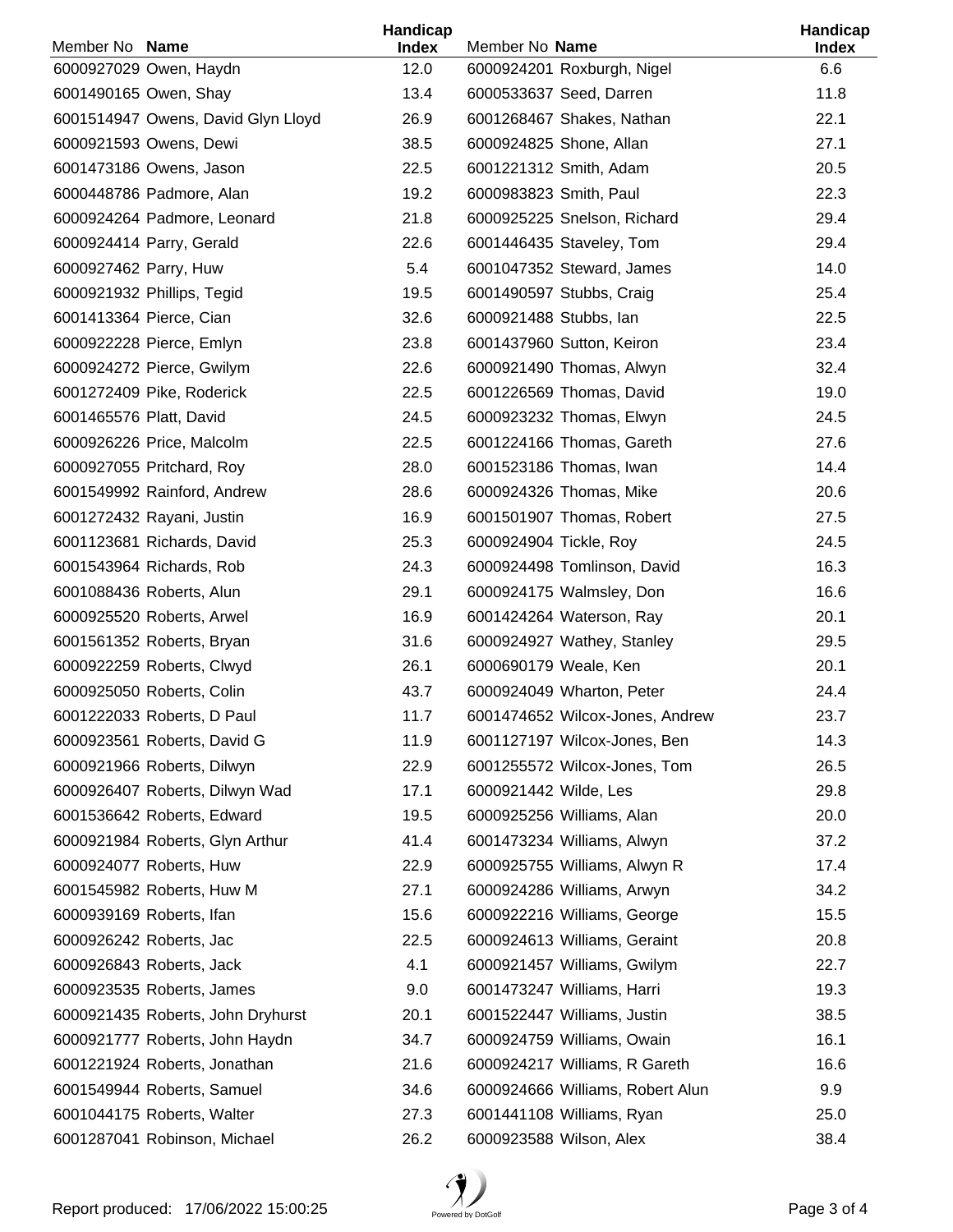| Member No Name          |                                    | Handicap             | Member No Name                   | Handicap            |
|-------------------------|------------------------------------|----------------------|----------------------------------|---------------------|
|                         | 6000927029 Owen, Haydn             | <b>Index</b><br>12.0 | 6000924201 Roxburgh, Nigel       | <b>Index</b><br>6.6 |
|                         | 6001490165 Owen, Shay              | 13.4                 | 6000533637 Seed, Darren          | 11.8                |
|                         | 6001514947 Owens, David Glyn Lloyd | 26.9                 | 6001268467 Shakes, Nathan        | 22.1                |
|                         | 6000921593 Owens, Dewi             | 38.5                 | 6000924825 Shone, Allan          | 27.1                |
|                         | 6001473186 Owens, Jason            | 22.5                 | 6001221312 Smith, Adam           | 20.5                |
|                         | 6000448786 Padmore, Alan           | 19.2                 | 6000983823 Smith, Paul           | 22.3                |
|                         | 6000924264 Padmore, Leonard        | 21.8                 | 6000925225 Snelson, Richard      | 29.4                |
|                         | 6000924414 Parry, Gerald           | 22.6                 | 6001446435 Staveley, Tom         | 29.4                |
| 6000927462 Parry, Huw   |                                    | 5.4                  | 6001047352 Steward, James        | 14.0                |
|                         | 6000921932 Phillips, Tegid         | 19.5                 | 6001490597 Stubbs, Craig         | 25.4                |
|                         | 6001413364 Pierce, Cian            | 32.6                 | 6000921488 Stubbs, lan           | 22.5                |
|                         | 6000922228 Pierce, Emlyn           | 23.8                 | 6001437960 Sutton, Keiron        | 23.4                |
|                         | 6000924272 Pierce, Gwilym          | 22.6                 | 6000921490 Thomas, Alwyn         | 32.4                |
|                         | 6001272409 Pike, Roderick          | 22.5                 | 6001226569 Thomas, David         | 19.0                |
| 6001465576 Platt, David |                                    | 24.5                 | 6000923232 Thomas, Elwyn         | 24.5                |
|                         | 6000926226 Price, Malcolm          | 22.5                 | 6001224166 Thomas, Gareth        | 27.6                |
|                         | 6000927055 Pritchard, Roy          | 28.0                 | 6001523186 Thomas, Iwan          | 14.4                |
|                         | 6001549992 Rainford, Andrew        | 28.6                 | 6000924326 Thomas, Mike          | 20.6                |
|                         | 6001272432 Rayani, Justin          | 16.9                 | 6001501907 Thomas, Robert        | 27.5                |
|                         | 6001123681 Richards, David         | 25.3                 | 6000924904 Tickle, Roy           | 24.5                |
|                         | 6001543964 Richards, Rob           | 24.3                 | 6000924498 Tomlinson, David      | 16.3                |
|                         | 6001088436 Roberts, Alun           | 29.1                 | 6000924175 Walmsley, Don         | 16.6                |
|                         | 6000925520 Roberts, Arwel          | 16.9                 | 6001424264 Waterson, Ray         | 20.1                |
|                         | 6001561352 Roberts, Bryan          | 31.6                 | 6000924927 Wathey, Stanley       | 29.5                |
|                         | 6000922259 Roberts, Clwyd          | 26.1                 | 6000690179 Weale, Ken            | 20.1                |
|                         | 6000925050 Roberts, Colin          | 43.7                 | 6000924049 Wharton, Peter        | 24.4                |
|                         | 6001222033 Roberts, D Paul         | 11.7                 | 6001474652 Wilcox-Jones, Andrew  | 23.7                |
|                         | 6000923561 Roberts, David G        | 11.9                 | 6001127197 Wilcox-Jones, Ben     | 14.3                |
|                         | 6000921966 Roberts, Dilwyn         | 22.9                 | 6001255572 Wilcox-Jones, Tom     | 26.5                |
|                         | 6000926407 Roberts, Dilwyn Wad     | 17.1                 | 6000921442 Wilde, Les            | 29.8                |
|                         | 6001536642 Roberts, Edward         | 19.5                 | 6000925256 Williams, Alan        | 20.0                |
|                         | 6000921984 Roberts, Glyn Arthur    | 41.4                 | 6001473234 Williams, Alwyn       | 37.2                |
|                         | 6000924077 Roberts, Huw            | 22.9                 | 6000925755 Williams, Alwyn R     | 17.4                |
|                         | 6001545982 Roberts, Huw M          | 27.1                 | 6000924286 Williams, Arwyn       | 34.2                |
|                         | 6000939169 Roberts, Ifan           | 15.6                 | 6000922216 Williams, George      | 15.5                |
|                         | 6000926242 Roberts, Jac            | 22.5                 | 6000924613 Williams, Geraint     | 20.8                |
|                         | 6000926843 Roberts, Jack           | 4.1                  | 6000921457 Williams, Gwilym      | 22.7                |
|                         | 6000923535 Roberts, James          | 9.0                  | 6001473247 Williams, Harri       | 19.3                |
|                         | 6000921435 Roberts, John Dryhurst  | 20.1                 | 6001522447 Williams, Justin      | 38.5                |
|                         | 6000921777 Roberts, John Haydn     | 34.7                 | 6000924759 Williams, Owain       | 16.1                |
|                         | 6001221924 Roberts, Jonathan       | 21.6                 | 6000924217 Williams, R Gareth    | 16.6                |
|                         | 6001549944 Roberts, Samuel         | 34.6                 | 6000924666 Williams, Robert Alun | 9.9                 |
|                         | 6001044175 Roberts, Walter         | 27.3                 | 6001441108 Williams, Ryan        | 25.0                |
|                         | 6001287041 Robinson, Michael       | 26.2                 | 6000923588 Wilson, Alex          | 38.4                |